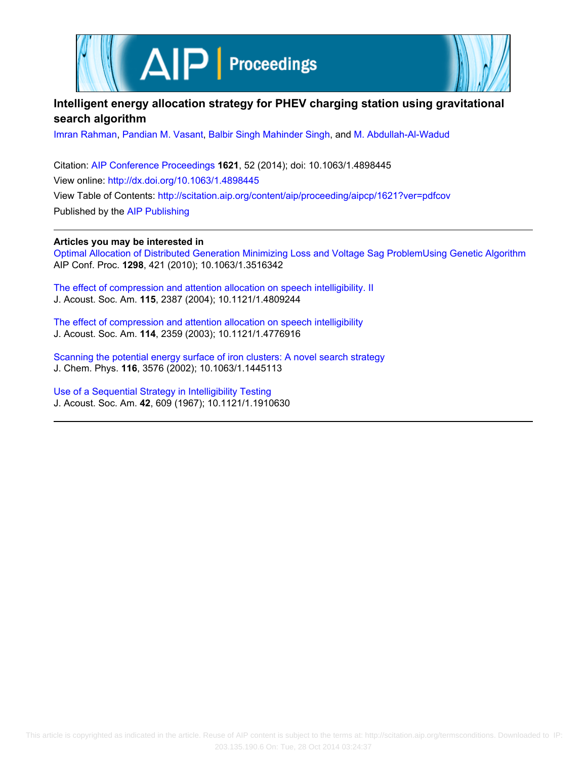



# **Intelligent energy allocation strategy for PHEV charging station using gravitational search algorithm**

[Imran Rahman](http://scitation.aip.org/search?value1=Imran+Rahman&option1=author), [Pandian M. Vasant](http://scitation.aip.org/search?value1=Pandian+M.+Vasant&option1=author), [Balbir Singh Mahinder Singh](http://scitation.aip.org/search?value1=Balbir+Singh+Mahinder+Singh&option1=author), and [M. Abdullah-Al-Wadud](http://scitation.aip.org/search?value1=M.+Abdullah-Al-Wadud&option1=author)

Citation: [AIP Conference Proceedings](http://scitation.aip.org/content/aip/proceeding/aipcp?ver=pdfcov) **1621**, 52 (2014); doi: 10.1063/1.4898445 View online: <http://dx.doi.org/10.1063/1.4898445> View Table of Contents: <http://scitation.aip.org/content/aip/proceeding/aipcp/1621?ver=pdfcov> Published by the [AIP Publishing](http://scitation.aip.org/content/aip?ver=pdfcov)

**Articles you may be interested in**

[Optimal Allocation of Distributed Generation Minimizing Loss and Voltage Sag ProblemUsing Genetic Algorithm](http://scitation.aip.org/content/aip/proceeding/aipcp/10.1063/1.3516342?ver=pdfcov) AIP Conf. Proc. **1298**, 421 (2010); 10.1063/1.3516342

[The effect of compression and attention allocation on speech intelligibility. II](http://scitation.aip.org/content/asa/journal/jasa/115/5/10.1121/1.4809244?ver=pdfcov) J. Acoust. Soc. Am. **115**, 2387 (2004); 10.1121/1.4809244

[The effect of compression and attention allocation on speech intelligibility](http://scitation.aip.org/content/asa/journal/jasa/114/4/10.1121/1.4776916?ver=pdfcov) J. Acoust. Soc. Am. **114**, 2359 (2003); 10.1121/1.4776916

[Scanning the potential energy surface of iron clusters: A novel search strategy](http://scitation.aip.org/content/aip/journal/jcp/116/9/10.1063/1.1445113?ver=pdfcov) J. Chem. Phys. **116**, 3576 (2002); 10.1063/1.1445113

[Use of a Sequential Strategy in Intelligibility Testing](http://scitation.aip.org/content/asa/journal/jasa/42/3/10.1121/1.1910630?ver=pdfcov) J. Acoust. Soc. Am. **42**, 609 (1967); 10.1121/1.1910630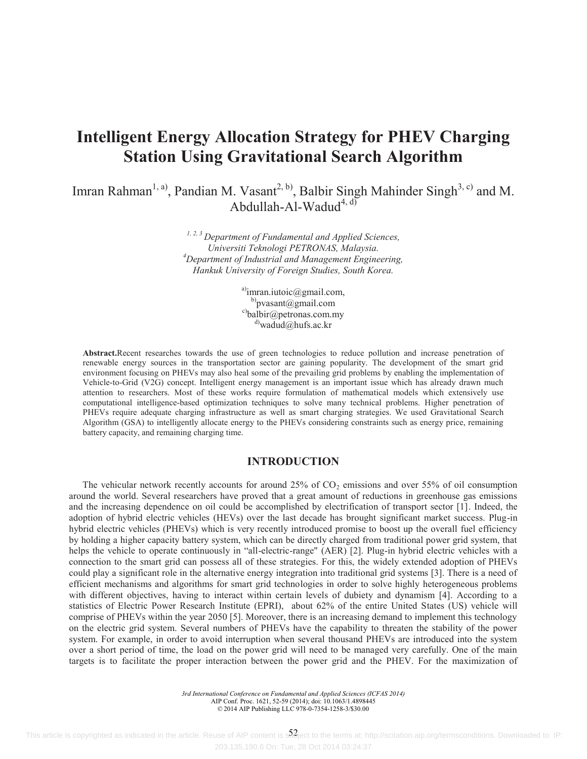# **Intelligent Energy Allocation Strategy for PHEV Charging Station Using Gravitational Search Algorithm**

Imran Rahman<sup>1, a)</sup>, Pandian M. Vasant<sup>2, b)</sup>, Balbir Singh Mahinder Singh<sup>3, c)</sup> and M. Abdullah-Al-Wadud $^{4, d}$ 

> *1, 2, 3 Department of Fundamental and Applied Sciences, Universiti Teknologi PETRONAS, Malaysia. 4 Department of Industrial and Management Engineering, Hankuk University of Foreign Studies, South Korea.*

> > a)imran.iutoic@gmail.com, b) pvasant@gmail.com c)balbir@petronas.com.my  $^{d)}$ wadud@hufs.ac.kr

**Abstract.**Recent researches towards the use of green technologies to reduce pollution and increase penetration of renewable energy sources in the transportation sector are gaining popularity. The development of the smart grid environment focusing on PHEVs may also heal some of the prevailing grid problems by enabling the implementation of Vehicle-to-Grid (V2G) concept. Intelligent energy management is an important issue which has already drawn much attention to researchers. Most of these works require formulation of mathematical models which extensively use computational intelligence-based optimization techniques to solve many technical problems. Higher penetration of PHEVs require adequate charging infrastructure as well as smart charging strategies. We used Gravitational Search Algorithm (GSA) to intelligently allocate energy to the PHEVs considering constraints such as energy price, remaining battery capacity, and remaining charging time.

# **INTRODUCTION**

The vehicular network recently accounts for around  $25\%$  of  $CO<sub>2</sub>$  emissions and over 55% of oil consumption around the world. Several researchers have proved that a great amount of reductions in greenhouse gas emissions and the increasing dependence on oil could be accomplished by electrification of transport sector [1]. Indeed, the adoption of hybrid electric vehicles (HEVs) over the last decade has brought significant market success. Plug-in hybrid electric vehicles (PHEVs) which is very recently introduced promise to boost up the overall fuel efficiency by holding a higher capacity battery system, which can be directly charged from traditional power grid system, that helps the vehicle to operate continuously in "all-electric-range" (AER) [2]. Plug-in hybrid electric vehicles with a connection to the smart grid can possess all of these strategies. For this, the widely extended adoption of PHEVs could play a significant role in the alternative energy integration into traditional grid systems [3]. There is a need of efficient mechanisms and algorithms for smart grid technologies in order to solve highly heterogeneous problems with different objectives, having to interact within certain levels of dubiety and dynamism [4]. According to a statistics of Electric Power Research Institute (EPRI), about 62% of the entire United States (US) vehicle will comprise of PHEVs within the year 2050 [5]. Moreover, there is an increasing demand to implement this technology on the electric grid system. Several numbers of PHEVs have the capability to threaten the stability of the power system. For example, in order to avoid interruption when several thousand PHEVs are introduced into the system over a short period of time, the load on the power grid will need to be managed very carefully. One of the main targets is to facilitate the proper interaction between the power grid and the PHEV. For the maximization of

> *3rd International Conference on Fundamental and Applied Sciences (ICFAS 2014)* AIP Conf. Proc. 1621, 52-59 (2014); doi: 10.1063/1.4898445 © 2014 AIP Publishing LLC 978-0-7354-1258-3/\$30.00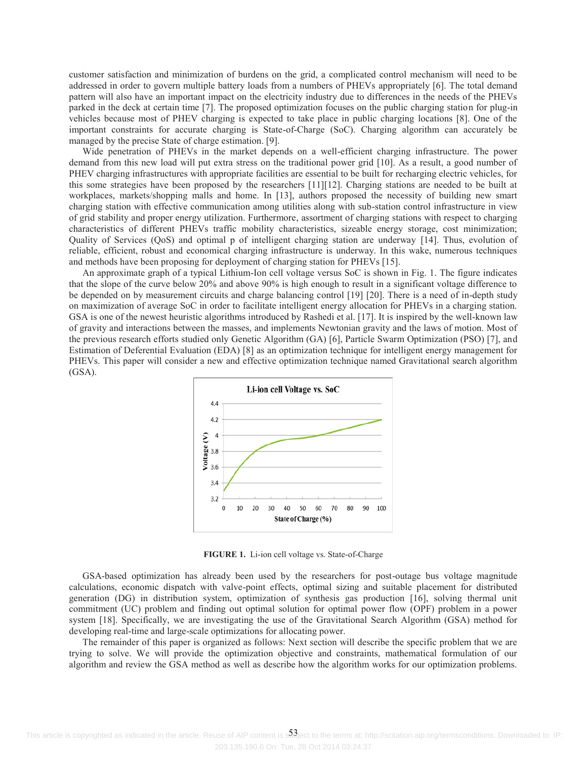customer satisfaction and minimization of burdens on the grid, a complicated control mechanism will need to be addressed in order to govern multiple battery loads from a numbers of PHEVs appropriately [6]. The total demand pattern will also have an important impact on the electricity industry due to differences in the needs of the PHEVs parked in the deck at certain time [7]. The proposed optimization focuses on the public charging station for plug-in vehicles because most of PHEV charging is expected to take place in public charging locations [8]. One of the important constraints for accurate charging is State-of-Charge (SoC). Charging algorithm can accurately be managed by the precise State of charge estimation. [9].

Wide penetration of PHEVs in the market depends on a well-efficient charging infrastructure. The power demand from this new load will put extra stress on the traditional power grid [10]. As a result, a good number of PHEV charging infrastructures with appropriate facilities are essential to be built for recharging electric vehicles, for this some strategies have been proposed by the researchers [11][12]. Charging stations are needed to be built at workplaces, markets/shopping malls and home. In [13], authors proposed the necessity of building new smart charging station with effective communication among utilities along with sub-station control infrastructure in view of grid stability and proper energy utilization. Furthermore, assortment of charging stations with respect to charging characteristics of different PHEVs traffic mobility characteristics, sizeable energy storage, cost minimization; Quality of Services (QoS) and optimal p of intelligent charging station are underway [14]. Thus, evolution of reliable, efficient, robust and economical charging infrastructure is underway. In this wake, numerous techniques and methods have been proposing for deployment of charging station for PHEVs [15].

An approximate graph of a typical Lithium-Ion cell voltage versus SoC is shown in Fig. 1. The figure indicates that the slope of the curve below 20% and above 90% is high enough to result in a significant voltage difference to be depended on by measurement circuits and charge balancing control [19] [20]. There is a need of in-depth study on maximization of average SoC in order to facilitate intelligent energy allocation for PHEVs in a charging station. GSA is one of the newest heuristic algorithms introduced by Rashedi et al. [17]. It is inspired by the well-known law of gravity and interactions between the masses, and implements Newtonian gravity and the laws of motion. Most of the previous research efforts studied only Genetic Algorithm (GA) [6], Particle Swarm Optimization (PSO) [7], and Estimation of Deferential Evaluation (EDA) [8] as an optimization technique for intelligent energy management for PHEVs. This paper will consider a new and effective optimization technique named Gravitational search algorithm (GSA).



**FIGURE 1.** Li-ion cell voltage vs. State-of-Charge

GSA-based optimization has already been used by the researchers for post-outage bus voltage magnitude calculations, economic dispatch with valve-point effects, optimal sizing and suitable placement for distributed generation (DG) in distribution system, optimization of synthesis gas production [16], solving thermal unit commitment (UC) problem and finding out optimal solution for optimal power flow (OPF) problem in a power system [18]. Specifically, we are investigating the use of the Gravitational Search Algorithm (GSA) method for developing real-time and large-scale optimizations for allocating power.

The remainder of this paper is organized as follows: Next section will describe the specific problem that we are trying to solve. We will provide the optimization objective and constraints, mathematical formulation of our algorithm and review the GSA method as well as describe how the algorithm works for our optimization problems.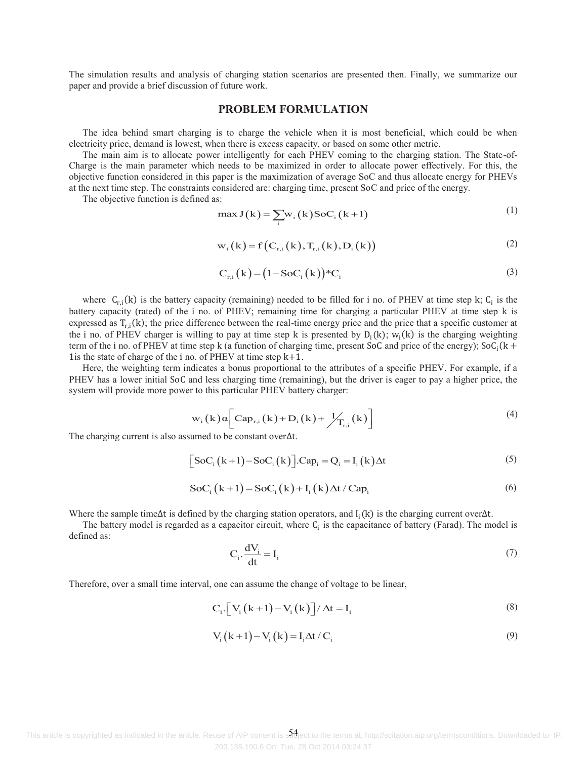The simulation results and analysis of charging station scenarios are presented then. Finally, we summarize our paper and provide a brief discussion of future work.

#### **PROBLEM FORMULATION**

The idea behind smart charging is to charge the vehicle when it is most beneficial, which could be when electricity price, demand is lowest, when there is excess capacity, or based on some other metric.

The main aim is to allocate power intelligently for each PHEV coming to the charging station. The State-of-Charge is the main parameter which needs to be maximized in order to allocate power effectively. For this, the objective function considered in this paper is the maximization of average SoC and thus allocate energy for PHEVs at the next time step. The constraints considered are: charging time, present SoC and price of the energy.

The objective function is defined as:

$$
\max J(k) = \sum_{i} w_i(k) \operatorname{SoC}_i(k+1)
$$
 (1)

$$
w_{i}(k) = f(C_{r,i}(k), T_{r,i}(k), D_{i}(k))
$$
\n(2)

$$
C_{r,i}(k) = (1 - \text{SoC}_i(k))^* C_i \tag{3}
$$

where  $C_{r,i}(k)$  is the battery capacity (remaining) needed to be filled for i no. of PHEV at time step k;  $C_i$  is the battery capacity (rated) of the i no. of PHEV; remaining time for charging a particular PHEV at time step k is expressed as  $T_{r,i}(k)$ ; the price difference between the real-time energy price and the price that a specific customer at the i no. of PHEV charger is willing to pay at time step k is presented by  $D_i(k)$ ;  $w_i(k)$  is the charging weighting term of the i no. of PHEV at time step k (a function of charging time, present SoC and price of the energy);  $\text{SoC}_i(k +$ The state of charge of the i no. of PHEV at time step  $k+1$ .

Here, the weighting term indicates a bonus proportional to the attributes of a specific PHEV. For example, if a PHEV has a lower initial SoC and less charging time (remaining), but the driver is eager to pay a higher price, the system will provide more power to this particular PHEV battery charger:

$$
w_i(k)\alpha \bigg[ Cap_{r,i}(k) + D_i(k) + \frac{1}{T_{r,i}}(k) \bigg] \tag{4}
$$

The charging current is also assumed to be constant over $\Delta t$ .

$$
[SoC_{i}(k+1)-SoC_{i}(k)].Cap_{i}=Q_{i}=I_{i}(k)\Delta t
$$
\n(5)

$$
SoC_i(k+1) = SoC_i(k) + I_i(k) \Delta t / Cap_i
$$
\n(6)

Where the sample time $\Delta t$  is defined by the charging station operators, and  $I_i(k)$  is the charging current over $\Delta t$ .

The battery model is regarded as a capacitor circuit, where  $C_i$  is the capacitance of battery (Farad). The model is defined as:

$$
C_i \cdot \frac{dV_i}{dt} = I_i \tag{7}
$$

Therefore, over a small time interval, one can assume the change of voltage to be linear,

$$
C_i \cdot \left[ V_i(k+1) - V_i(k) \right] / \Delta t = I_i \tag{8}
$$

$$
V_i(k+1) - V_i(k) = I_i \Delta t / C_i
$$
\n(9)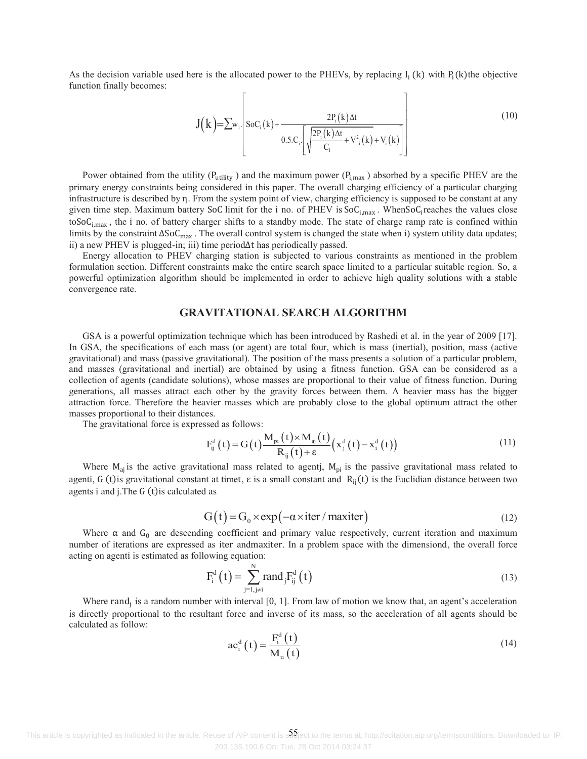As the decision variable used here is the allocated power to the PHEVs, by replacing  $I_i(k)$  with  $P_i(k)$ the objective function finally becomes:

$$
J(k) = \sum w_i \left[ SoC_i(k) + \frac{2P_i(k)\Delta t}{0.5.C_i \left[ \sqrt{\frac{2P_i(k)\Delta t}{C_i} + V_{i}^{2}(k) + V_{i}(k)}} \right]} \right]
$$
(10)

Power obtained from the utility ( $P_{\text{utility}}$ ) and the maximum power ( $P_{\text{i,max}}$ ) absorbed by a specific PHEV are the primary energy constraints being considered in this paper. The overall charging efficiency of a particular charging infrastructure is described by  $\eta$ . From the system point of view, charging efficiency is supposed to be constant at any given time step. Maximum battery SoC limit for the i no. of PHEV is  $SoC_{i,max}$ . When $SoC_i$ reaches the values close toSoC<sub>i,max</sub>, the i no. of battery charger shifts to a standby mode. The state of charge ramp rate is confined within limits by the constraint  $\Delta SoC_{\text{max}}$ . The overall control system is changed the state when i) system utility data updates; ii) a new PHEV is plugged-in; iii) time period $\Delta t$  has periodically passed.

Energy allocation to PHEV charging station is subjected to various constraints as mentioned in the problem formulation section. Different constraints make the entire search space limited to a particular suitable region. So, a powerful optimization algorithm should be implemented in order to achieve high quality solutions with a stable convergence rate.

# **GRAVITATIONAL SEARCH ALGORITHM**

GSA is a powerful optimization technique which has been introduced by Rashedi et al. in the year of 2009 [17]. In GSA, the specifications of each mass (or agent) are total four, which is mass (inertial), position, mass (active gravitational) and mass (passive gravitational). The position of the mass presents a solution of a particular problem, and masses (gravitational and inertial) are obtained by using a fitness function. GSA can be considered as a collection of agents (candidate solutions), whose masses are proportional to their value of fitness function. During generations, all masses attract each other by the gravity forces between them. A heavier mass has the bigger attraction force. Therefore the heavier masses which are probably close to the global optimum attract the other masses proportional to their distances.

The gravitational force is expressed as follows:

$$
F_{ij}^{d}(t) = G(t) \frac{M_{pi}(t) \times M_{aj}(t)}{R_{ij}(t) + \varepsilon} (x_{j}^{d}(t) - x_{i}^{d}(t))
$$
\n(11)

Where  $M_{ai}$  is the active gravitational mass related to agentj,  $M_{pi}$  is the passive gravitational mass related to agenti, G (t) is gravitational constant at timet,  $\varepsilon$  is a small constant and  $R_{ij}(t)$  is the Euclidian distance between two agents i and j. The G (t) is calculated as

$$
G(t) = G_0 \times \exp(-\alpha \times \text{iter} / \text{maxiter})
$$
 (12)

Where  $\alpha$  and  $G_0$  are descending coefficient and primary value respectively, current iteration and maximum number of iterations are expressed as iter andmaxiter. In a problem space with the dimensiond, the overall force acting on agenti is estimated as following equation:

$$
F_i^d(t) = \sum_{j=1, j\neq i}^N \text{rand}_j F_{ij}^d(t)
$$
\n(13)

Where rand<sub>i</sub> is a random number with interval  $[0, 1]$ . From law of motion we know that, an agent's acceleration is directly proportional to the resultant force and inverse of its mass, so the acceleration of all agents should be calculated as follow:

$$
ac_i^d(t) = \frac{F_i^d(t)}{M_{ii}(t)}
$$
 (14)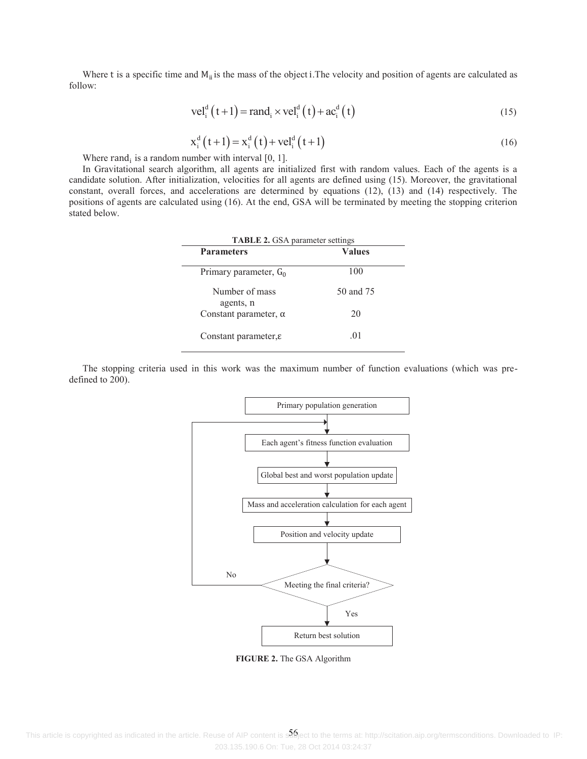Where t is a specific time and  $M_{ii}$  is the mass of the object i. The velocity and position of agents are calculated as follow:

$$
\text{vel}_i^d(t+1) = \text{rand}_i \times \text{vel}_i^d(t) + \text{ac}_i^d(t)
$$
\n
$$
(15)
$$

$$
x_i^d(t+1) = x_i^d(t) + vel_i^d(t+1)
$$
 (16)

Where  $rand_i$  is a random number with interval [0, 1].

In Gravitational search algorithm, all agents are initialized first with random values. Each of the agents is a candidate solution. After initialization, velocities for all agents are defined using (15). Moreover, the gravitational constant, overall forces, and accelerations are determined by equations (12), (13) and (14) respectively. The positions of agents are calculated using (16). At the end, GSA will be terminated by meeting the stopping criterion stated below.

| <b>TABLE 2.</b> GSA parameter settings |               |  |
|----------------------------------------|---------------|--|
| <b>Parameters</b>                      | <b>Values</b> |  |
| Primary parameter, $G_0$               | 100           |  |
| Number of mass<br>agents, n            | 50 and 75     |  |
| Constant parameter, $\alpha$           | 20            |  |
| Constant parameter, $\varepsilon$      | .01           |  |

The stopping criteria used in this work was the maximum number of function evaluations (which was predefined to 200).



**FIGURE 2.** The GSA Algorithm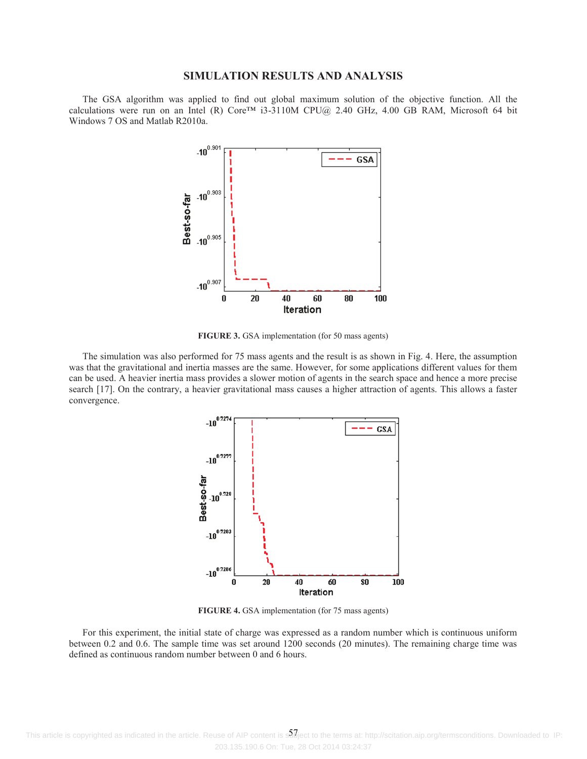#### **SIMULATION RESULTS AND ANALYSIS**

The GSA algorithm was applied to find out global maximum solution of the objective function. All the calculations were run on an Intel (R) Core™ i3-3110M CPU@ 2.40 GHz, 4.00 GB RAM, Microsoft 64 bit Windows 7 OS and Matlab R2010a.



**FIGURE 3.** GSA implementation (for 50 mass agents)

The simulation was also performed for 75 mass agents and the result is as shown in Fig. 4. Here, the assumption was that the gravitational and inertia masses are the same. However, for some applications different values for them can be used. A heavier inertia mass provides a slower motion of agents in the search space and hence a more precise search [17]. On the contrary, a heavier gravitational mass causes a higher attraction of agents. This allows a faster convergence.



**FIGURE 4.** GSA implementation (for 75 mass agents)

For this experiment, the initial state of charge was expressed as a random number which is continuous uniform between 0.2 and 0.6. The sample time was set around 1200 seconds (20 minutes). The remaining charge time was defined as continuous random number between 0 and 6 hours.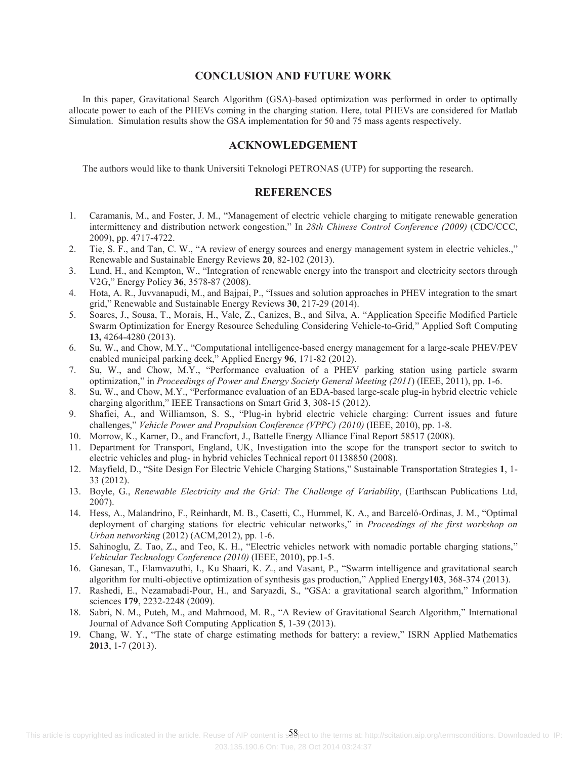### **CONCLUSION AND FUTURE WORK**

In this paper, Gravitational Search Algorithm (GSA)-based optimization was performed in order to optimally allocate power to each of the PHEVs coming in the charging station. Here, total PHEVs are considered for Matlab Simulation. Simulation results show the GSA implementation for 50 and 75 mass agents respectively.

# **ACKNOWLEDGEMENT**

The authors would like to thank Universiti Teknologi PETRONAS (UTP) for supporting the research.

#### **REFERENCES**

- 1. Caramanis, M., and Foster, J. M., "Management of electric vehicle charging to mitigate renewable generation intermittency and distribution network congestion," In *28th Chinese Control Conference (2009)* (CDC/CCC, 2009), pp. 4717-4722.
- 2. Tie, S. F., and Tan, C. W., "A review of energy sources and energy management system in electric vehicles.," Renewable and Sustainable Energy Reviews **20**, 82-102 (2013).
- 3. Lund, H., and Kempton, W., "Integration of renewable energy into the transport and electricity sectors through V2G," Energy Policy **36**, 3578-87 (2008).
- 4. Hota, A. R., Juvvanapudi, M., and Bajpai, P., "Issues and solution approaches in PHEV integration to the smart grid," Renewable and Sustainable Energy Reviews **30**, 217-29 (2014).
- 5. Soares, J., Sousa, T., Morais, H., Vale, Z., Canizes, B., and Silva, A. "Application Specific Modified Particle Swarm Optimization for Energy Resource Scheduling Considering Vehicle-to-Grid*,*" Applied Soft Computing **13,** 4264-4280 (2013).
- 6. Su, W., and Chow, M.Y., "Computational intelligence-based energy management for a large-scale PHEV/PEV enabled municipal parking deck," Applied Energy **96**, 171-82 (2012).
- 7. Su, W., and Chow, M.Y., "Performance evaluation of a PHEV parking station using particle swarm optimization," in *Proceedings of Power and Energy Society General Meeting (2011*) (IEEE, 2011), pp. 1-6.
- 8. Su, W., and Chow, M.Y., "Performance evaluation of an EDA-based large-scale plug-in hybrid electric vehicle charging algorithm," IEEE Transactions on Smart Grid **3**, 308-15 (2012).
- 9. Shafiei, A., and Williamson, S. S., "Plug-in hybrid electric vehicle charging: Current issues and future challenges," *Vehicle Power and Propulsion Conference (VPPC) (2010)* (IEEE, 2010), pp. 1-8.
- 10. Morrow, K., Karner, D., and Francfort, J., Battelle Energy Alliance Final Report 58517 (2008).
- 11. Department for Transport, England, UK, Investigation into the scope for the transport sector to switch to electric vehicles and plug- in hybrid vehicles Technical report 01138850 (2008).
- 12. Mayfield, D., "Site Design For Electric Vehicle Charging Stations," Sustainable Transportation Strategies **1**, 1- 33 (2012).
- 13. Boyle, G., *Renewable Electricity and the Grid: The Challenge of Variability*, (Earthscan Publications Ltd, 2007).
- 14. Hess, A., Malandrino, F., Reinhardt, M. B., Casetti, C., Hummel, K. A., and Barceló-Ordinas, J. M., "Optimal deployment of charging stations for electric vehicular networks," in *Proceedings of the first workshop on Urban networking* (2012) (ACM,2012), pp. 1-6.
- 15. Sahinoglu, Z. Tao, Z., and Teo, K. H., "Electric vehicles network with nomadic portable charging stations," *Vehicular Technology Conference (2010)* (IEEE, 2010), pp.1-5.
- 16. Ganesan, T., Elamvazuthi, I., Ku Shaari, K. Z., and Vasant, P., "Swarm intelligence and gravitational search algorithm for multi-objective optimization of synthesis gas production," Applied Energy**103**, 368-374 (2013).
- 17. Rashedi, E., Nezamabadi-Pour, H., and Saryazdi, S., "GSA: a gravitational search algorithm," Information sciences **179**, 2232-2248 (2009).
- 18. Sabri, N. M., Puteh, M., and Mahmood, M. R., "A Review of Gravitational Search Algorithm," International Journal of Advance Soft Computing Application **5**, 1-39 (2013).
- 19. Chang, W. Y., "The state of charge estimating methods for battery: a review," ISRN Applied Mathematics **2013**, 1-7 (2013).